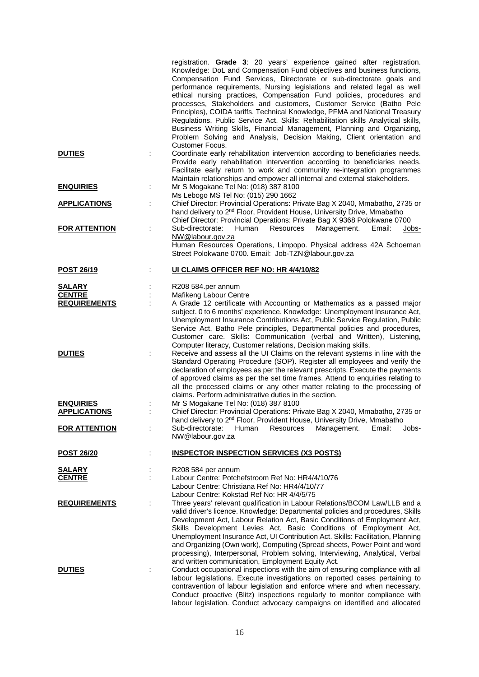|                                                       |    | registration. Grade 3: 20 years' experience gained after registration.<br>Knowledge: DoL and Compensation Fund objectives and business functions,<br>Compensation Fund Services, Directorate or sub-directorate goals and<br>performance requirements, Nursing legislations and related legal as well<br>ethical nursing practices, Compensation Fund policies, procedures and<br>processes, Stakeholders and customers, Customer Service (Batho Pele<br>Principles), COIDA tariffs, Technical Knowledge, PFMA and National Treasury<br>Regulations, Public Service Act. Skills: Rehabilitation skills Analytical skills,<br>Business Writing Skills, Financial Management, Planning and Organizing,<br>Problem Solving and Analysis, Decision Making, Client orientation and |
|-------------------------------------------------------|----|-------------------------------------------------------------------------------------------------------------------------------------------------------------------------------------------------------------------------------------------------------------------------------------------------------------------------------------------------------------------------------------------------------------------------------------------------------------------------------------------------------------------------------------------------------------------------------------------------------------------------------------------------------------------------------------------------------------------------------------------------------------------------------|
| <b>DUTIES</b>                                         |    | Customer Focus.<br>Coordinate early rehabilitation intervention according to beneficiaries needs.<br>Provide early rehabilitation intervention according to beneficiaries needs.<br>Facilitate early return to work and community re-integration programmes<br>Maintain relationships and empower all internal and external stakeholders.                                                                                                                                                                                                                                                                                                                                                                                                                                     |
| <b>ENQUIRIES</b>                                      | ÷  | Mr S Mogakane Tel No: (018) 387 8100<br>Ms Lebogo MS Tel No: (015) 290 1662                                                                                                                                                                                                                                                                                                                                                                                                                                                                                                                                                                                                                                                                                                   |
| <b>APPLICATIONS</b>                                   | ÷  | Chief Director: Provincial Operations: Private Bag X 2040, Mmabatho, 2735 or<br>hand delivery to 2 <sup>nd</sup> Floor, Provident House, University Drive, Mmabatho<br>Chief Director: Provincial Operations: Private Bag X 9368 Polokwane 0700                                                                                                                                                                                                                                                                                                                                                                                                                                                                                                                               |
| <b>FOR ATTENTION</b>                                  |    | Sub-directorate:<br>Human<br>Resources<br>Management.<br>Email:<br>Jobs-<br>NW@labour.gov.za<br>Human Resources Operations, Limpopo. Physical address 42A Schoeman<br>Street Polokwane 0700. Email: Job-TZN@labour.gov.za                                                                                                                                                                                                                                                                                                                                                                                                                                                                                                                                                     |
| POST 26/19                                            |    | UI CLAIMS OFFICER REF NO: HR 4/4/10/82                                                                                                                                                                                                                                                                                                                                                                                                                                                                                                                                                                                                                                                                                                                                        |
| <b>SALARY</b><br><b>CENTRE</b><br><b>REQUIREMENTS</b> |    | R208 584.per annum<br>Mafikeng Labour Centre<br>A Grade 12 certificate with Accounting or Mathematics as a passed major<br>subject. 0 to 6 months' experience. Knowledge: Unemployment Insurance Act,<br>Unemployment Insurance Contributions Act, Public Service Regulation, Public                                                                                                                                                                                                                                                                                                                                                                                                                                                                                          |
| <b>DUTIES</b>                                         |    | Service Act, Batho Pele principles, Departmental policies and procedures,<br>Customer care. Skills: Communication (verbal and Written), Listening,<br>Computer literacy, Customer relations, Decision making skills.<br>Receive and assess all the UI Claims on the relevant systems in line with the<br>Standard Operating Procedure (SOP). Register all employees and verify the<br>declaration of employees as per the relevant prescripts. Execute the payments<br>of approved claims as per the set time frames. Attend to enquiries relating to<br>all the processed claims or any other matter relating to the processing of                                                                                                                                           |
| <b>ENQUIRIES</b>                                      |    | claims. Perform administrative duties in the section.<br>Mr S Mogakane Tel No: (018) 387 8100                                                                                                                                                                                                                                                                                                                                                                                                                                                                                                                                                                                                                                                                                 |
| <b>APPLICATIONS</b>                                   |    | Chief Director: Provincial Operations: Private Bag X 2040, Mmabatho, 2735 or<br>hand delivery to 2 <sup>nd</sup> Floor, Provident House, University Drive, Mmabatho                                                                                                                                                                                                                                                                                                                                                                                                                                                                                                                                                                                                           |
| <b>FOR ATTENTION</b>                                  |    | Human<br><b>Resources</b><br>Email:<br>Sub-directorate:<br>Management.<br>Jobs-<br>NW@labour.gov.za                                                                                                                                                                                                                                                                                                                                                                                                                                                                                                                                                                                                                                                                           |
| <b>POST 26/20</b>                                     |    | <b>INSPECTOR INSPECTION SERVICES (X3 POSTS)</b>                                                                                                                                                                                                                                                                                                                                                                                                                                                                                                                                                                                                                                                                                                                               |
| <b>SALARY</b><br><b>CENTRE</b>                        |    | R208 584 per annum<br>Labour Centre: Potchefstroom Ref No: HR4/4/10/76<br>Labour Centre: Christiana Ref No: HR4/4/10/77<br>Labour Centre: Kokstad Ref No: HR 4/4/5/75                                                                                                                                                                                                                                                                                                                                                                                                                                                                                                                                                                                                         |
| <b>REQUIREMENTS</b>                                   | Ĭ. | Three years' relevant qualification in Labour Relations/BCOM Law/LLB and a<br>valid driver's licence. Knowledge: Departmental policies and procedures, Skills<br>Development Act, Labour Relation Act, Basic Conditions of Employment Act,<br>Skills Development Levies Act, Basic Conditions of Employment Act,<br>Unemployment Insurance Act, UI Contribution Act. Skills: Facilitation, Planning<br>and Organizing (Own work), Computing (Spread sheets, Power Point and word<br>processing), Interpersonal, Problem solving, Interviewing, Analytical, Verbal<br>and written communication, Employment Equity Act.                                                                                                                                                        |
| <b>DUTIES</b>                                         |    | Conduct occupational inspections with the aim of ensuring compliance with all<br>labour legislations. Execute investigations on reported cases pertaining to<br>contravention of labour legislation and enforce where and when necessary.<br>Conduct proactive (Blitz) inspections regularly to monitor compliance with<br>labour legislation. Conduct advocacy campaigns on identified and allocated                                                                                                                                                                                                                                                                                                                                                                         |